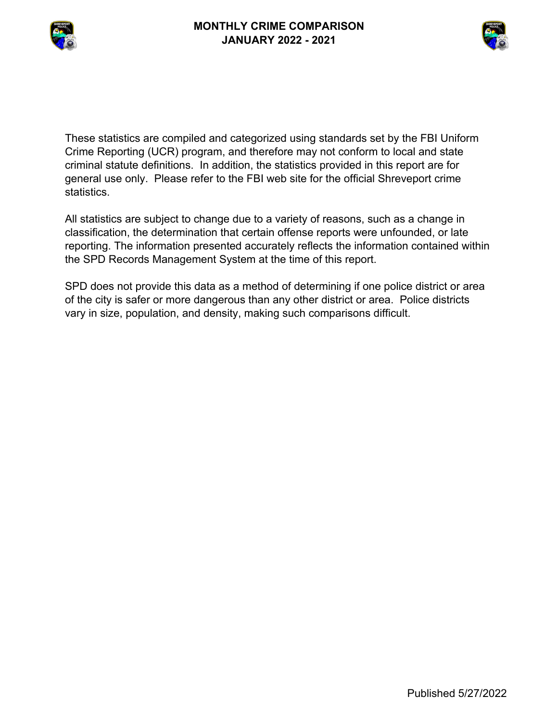



These statistics are compiled and categorized using standards set by the FBI Uniform Crime Reporting (UCR) program, and therefore may not conform to local and state criminal statute definitions. In addition, the statistics provided in this report are for general use only. Please refer to the FBI web site for the official Shreveport crime statistics.

All statistics are subject to change due to a variety of reasons, such as a change in classification, the determination that certain offense reports were unfounded, or late reporting. The information presented accurately reflects the information contained within the SPD Records Management System at the time of this report.

SPD does not provide this data as a method of determining if one police district or area of the city is safer or more dangerous than any other district or area. Police districts vary in size, population, and density, making such comparisons difficult.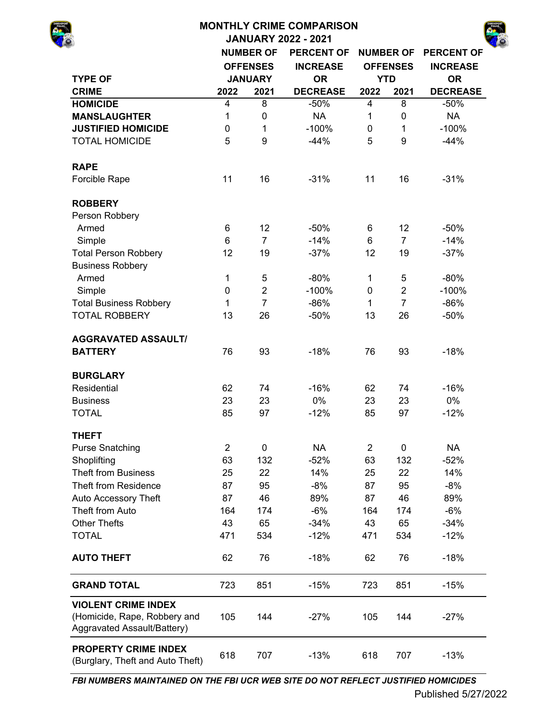## **MONTHLY CRIME COMPARISON JANUARY 2022 - 2021 NUMBER OF PERCENT OF NUMBER OF PERCENT OF INCREASE INCREASE TYPE OF OR OR OFFENSES INCREASE JANUARY YTD**

| I YPE OF                                                        |                | JANUARY        | <b>OR</b>       |                | YID            | <b>OR</b>       |
|-----------------------------------------------------------------|----------------|----------------|-----------------|----------------|----------------|-----------------|
| <b>CRIME</b>                                                    | 2022           | 2021           | <b>DECREASE</b> | 2022           | 2021           | <b>DECREASE</b> |
| <b>HOMICIDE</b>                                                 | 4              | 8              | $-50%$          | 4              | 8              | $-50%$          |
| <b>MANSLAUGHTER</b>                                             | 1              | $\mathbf 0$    | <b>NA</b>       | 1              | $\mathbf 0$    | <b>NA</b>       |
| <b>JUSTIFIED HOMICIDE</b>                                       | 0              | 1              | $-100%$         | 0              | $\mathbf{1}$   | $-100%$         |
| <b>TOTAL HOMICIDE</b>                                           | 5              | 9              | $-44%$          | 5              | 9              | $-44%$          |
|                                                                 |                |                |                 |                |                |                 |
| <b>RAPE</b>                                                     |                |                |                 |                |                |                 |
| Forcible Rape                                                   | 11             | 16             | $-31%$          | 11             | 16             | $-31%$          |
| <b>ROBBERY</b>                                                  |                |                |                 |                |                |                 |
| Person Robbery                                                  |                |                |                 |                |                |                 |
| Armed                                                           | 6              | 12             | $-50%$          | 6              | 12             | $-50%$          |
| Simple                                                          | 6              | $\overline{7}$ | $-14%$          | 6              | $\overline{7}$ | $-14%$          |
| <b>Total Person Robbery</b>                                     | 12             | 19             | $-37%$          | 12             | 19             | $-37%$          |
| <b>Business Robbery</b>                                         |                |                |                 |                |                |                 |
| Armed                                                           | $\mathbf 1$    | 5              | $-80%$          | $\mathbf 1$    | 5              | $-80%$          |
| Simple                                                          | 0              | $\overline{2}$ | $-100%$         | 0              | $\overline{2}$ | $-100%$         |
| <b>Total Business Robbery</b>                                   | $\mathbf{1}$   | $\overline{7}$ | $-86%$          | 1              | $\overline{7}$ | $-86%$          |
| <b>TOTAL ROBBERY</b>                                            | 13             | 26             | $-50%$          | 13             | 26             | $-50%$          |
|                                                                 |                |                |                 |                |                |                 |
| <b>AGGRAVATED ASSAULT/</b>                                      |                |                |                 |                |                |                 |
| <b>BATTERY</b>                                                  | 76             | 93             | $-18%$          | 76             | 93             | $-18%$          |
| <b>BURGLARY</b>                                                 |                |                |                 |                |                |                 |
| Residential                                                     | 62             | 74             | $-16%$          | 62             | 74             | $-16%$          |
| <b>Business</b>                                                 | 23             | 23             | 0%              | 23             | 23             | 0%              |
| <b>TOTAL</b>                                                    | 85             | 97             | $-12%$          | 85             | 97             | $-12%$          |
| <b>THEFT</b>                                                    |                |                |                 |                |                |                 |
| <b>Purse Snatching</b>                                          | $\overline{2}$ | $\pmb{0}$      | <b>NA</b>       | $\overline{2}$ | $\mathbf 0$    | <b>NA</b>       |
| Shoplifting                                                     | 63             | 132            | $-52%$          | 63             | 132            | $-52%$          |
| <b>Theft from Business</b>                                      | 25             | 22             | 14%             | 25             | 22             | 14%             |
| Theft from Residence                                            | 87             | 95             | $-8%$           | 87             | 95             | $-8%$           |
| Auto Accessory Theft                                            | 87             | 46             | 89%             | 87             | 46             | 89%             |
| Theft from Auto                                                 | 164            | 174            | $-6%$           | 164            | 174            | $-6%$           |
| <b>Other Thefts</b>                                             | 43             | 65             |                 | 43             | 65             |                 |
|                                                                 |                |                | $-34%$          |                |                | $-34%$          |
| <b>TOTAL</b>                                                    | 471            | 534            | $-12%$          | 471            | 534            | $-12%$          |
| <b>AUTO THEFT</b>                                               | 62             | 76             | $-18%$          | 62             | 76             | $-18%$          |
| <b>GRAND TOTAL</b>                                              | 723            | 851            | $-15%$          | 723            | 851            | $-15%$          |
| <b>VIOLENT CRIME INDEX</b>                                      |                |                |                 |                |                |                 |
| (Homicide, Rape, Robbery and                                    | 105            | 144            | $-27%$          | 105            | 144            | $-27%$          |
| Aggravated Assault/Battery)                                     |                |                |                 |                |                |                 |
| <b>PROPERTY CRIME INDEX</b><br>(Burglary, Theft and Auto Theft) | 618            | 707            | $-13%$          | 618            | 707            | $-13%$          |

*FBI NUMBERS MAINTAINED ON THE FBI UCR WEB SITE DO NOT REFLECT JUSTIFIED HOMICIDES*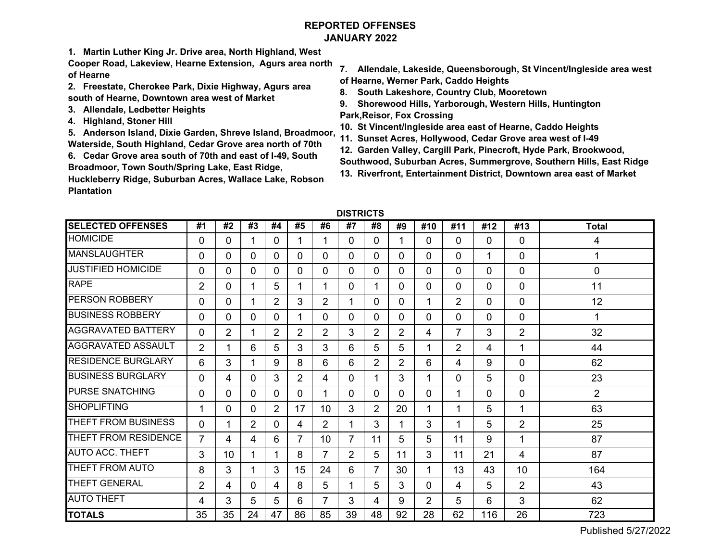# **REPORTED OFFENSESJANUARY 2022**

**1. Martin Luther King Jr. Drive area, North Highland, West** 

**Cooper Road, Lakeview, Hearne Extension, Agurs area north of Hearne**

- **2. Freestate, Cherokee Park, Dixie Highway, Agurs area south of Hearne, Downtown area west of Market**
- **3. Allendale, Ledbetter Heights**
- **4. Highland, Stoner Hill**

**5. Anderson Island, Dixie Garden, Shreve Island, Broadmoor, Waterside, South Highland, Cedar Grove area north of 70th**

**6. Cedar Grove area south of 70th and east of I-49, South Broadmoor, Town South/Spring Lake, East Ridge,** 

**Huckleberry Ridge, Suburban Acres, Wallace Lake, Robson Plantation** 

- **7. Allendale, Lakeside, Queensborough, St Vincent/Ingleside area west of Hearne, Werner Park, Caddo Heights**
- **8. South Lakeshore, Country Club, Mooretown**
- **9. Shorewood Hills, Yarborough, Western Hills, Huntington Park,Reisor, Fox Crossing**
- **10. St Vincent/Ingleside area east of Hearne, Caddo Heights**
- **11. Sunset Acres, Hollywood, Cedar Grove area west of I-49**
- **12. Garden Valley, Cargill Park, Pinecroft, Hyde Park, Brookwood,**
- **Southwood, Suburban Acres, Summergrove, Southern Hills, East Ridge**
- **13. Riverfront, Entertainment District, Downtown area east of Market**

| <b>SELECTED OFFENSES</b>  | #1             | #2           | #3 | #4             | #5             | #6             | #7             | #8             | #9             | #10 | #11            | #12          | #13            | <b>Total</b>   |
|---------------------------|----------------|--------------|----|----------------|----------------|----------------|----------------|----------------|----------------|-----|----------------|--------------|----------------|----------------|
| <b>HOMICIDE</b>           | 0              | 0            |    | $\Omega$       |                |                | 0              | $\Omega$       |                | 0   | 0              | $\Omega$     | 0              | 4              |
| <b>MANSLAUGHTER</b>       | 0              | $\mathbf{0}$ | 0  | 0              | 0              | 0              | 0              | $\Omega$       | $\Omega$       | 0   | 0              | 1            | 0              | 1              |
| <b>JUSTIFIED HOMICIDE</b> | 0              | $\mathbf{0}$ | 0  | 0              | 0              | 0              | 0              | $\Omega$       | $\Omega$       | 0   | 0              | $\Omega$     | 0              | 0              |
| <b>RAPE</b>               | 2              | 0            |    | 5              | 1              |                | 0              |                | $\Omega$       | 0   | 0              | $\Omega$     | 0              | 11             |
| <b>PERSON ROBBERY</b>     | $\Omega$       | $\mathbf{0}$ |    | $\overline{2}$ | 3              | $\overline{2}$ | 1              | $\mathbf{0}$   | $\Omega$       |     | $\overline{2}$ | $\mathbf{0}$ | 0              | 12             |
| <b>BUSINESS ROBBERY</b>   | 0              | $\Omega$     | 0  | 0              | 1              | 0              | 0              | $\Omega$       | $\mathbf 0$    | 0   | 0              | $\mathbf{0}$ | 0              | 1              |
| <b>AGGRAVATED BATTERY</b> | 0              | 2            |    | $\overline{2}$ | $\overline{2}$ | 2              | 3              | $\overline{2}$ | $\overline{2}$ | 4   | 7              | 3            | $\overline{2}$ | 32             |
| <b>AGGRAVATED ASSAULT</b> | $\overline{2}$ | 1            | 6  | 5              | 3              | 3              | 6              | 5              | 5              |     | 2              | 4            | 1              | 44             |
| <b>RESIDENCE BURGLARY</b> | 6              | 3            |    | 9              | 8              | 6              | 6              | $\overline{2}$ | 2              | 6   | 4              | 9            | 0              | 62             |
| <b>BUSINESS BURGLARY</b>  | 0              | 4            | 0  | 3              | $\overline{2}$ | 4              | 0              |                | 3              |     | 0              | 5            | 0              | 23             |
| <b>PURSE SNATCHING</b>    | 0              | 0            | 0  | 0              | 0              |                | 0              | $\Omega$       | $\Omega$       | 0   | 1              | $\Omega$     | 0              | $\overline{2}$ |
| <b>SHOPLIFTING</b>        |                | 0            | 0  | $\overline{2}$ | 17             | 10             | 3              | $\overline{2}$ | 20             |     | 1              | 5            | 1              | 63             |
| THEFT FROM BUSINESS       | 0              | 1            | 2  | $\Omega$       | 4              | $\overline{2}$ | 1              | 3              |                | 3   | 1              | 5            | 2              | 25             |
| THEFT FROM RESIDENCE      | $\overline{7}$ | 4            | 4  | 6              | $\overline{7}$ | 10             | $\overline{7}$ | 11             | 5              | 5   | 11             | 9            | 1              | 87             |
| <b>AUTO ACC. THEFT</b>    | 3              | 10           |    |                | 8              |                | $\overline{2}$ | 5              | 11             | 3   | 11             | 21           | 4              | 87             |
| THEFT FROM AUTO           | 8              | 3            |    | 3              | 15             | 24             | 6              | 7              | 30             |     | 13             | 43           | 10             | 164            |
| <b>THEFT GENERAL</b>      | 2              | 4            | 0  | 4              | 8              | 5              | 1              | 5              | 3              | 0   | 4              | 5            | $\overline{2}$ | 43             |
| <b>AUTO THEFT</b>         | 4              | 3            | 5  | 5              | 6              | 7              | 3              | 4              | 9              | 2   | 5              | 6            | 3              | 62             |
| <b>TOTALS</b>             | 35             | 35           | 24 | 47             | 86             | 85             | 39             | 48             | 92             | 28  | 62             | 116          | 26             | 723            |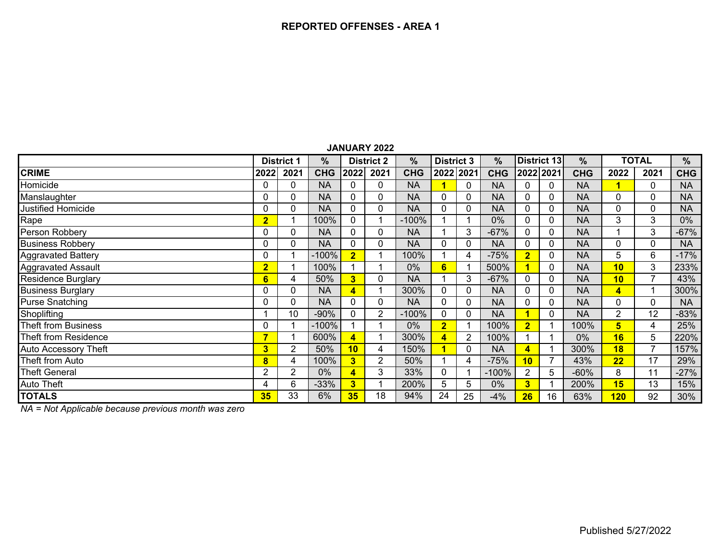|                             |                         |                   |            |                         | JANUANI 4044      |            |                   |           |               |                         |              |            |                |              |            |
|-----------------------------|-------------------------|-------------------|------------|-------------------------|-------------------|------------|-------------------|-----------|---------------|-------------------------|--------------|------------|----------------|--------------|------------|
|                             |                         | <b>District 1</b> | ℅          |                         | <b>District 2</b> | %          | <b>District 3</b> |           | $\frac{9}{6}$ |                         | District 13  | $\%$       |                | <b>TOTAL</b> | %          |
| <b>CRIME</b>                | 2022                    | 2021              | <b>CHG</b> | 2022                    | 2021              | <b>CHG</b> |                   | 2022 2021 | <b>CHG</b>    |                         | 2022 2021    | <b>CHG</b> | 2022           | 2021         | <b>CHG</b> |
| Homicide                    | $\Omega$                | 0                 | <b>NA</b>  | 0                       | 0                 | <b>NA</b>  |                   | 0         | <b>NA</b>     |                         | $\mathbf{0}$ | <b>NA</b>  |                | 0            | <b>NA</b>  |
| Manslaughter                | 0                       | 0                 | <b>NA</b>  | 0                       | 0                 | <b>NA</b>  | $\Omega$          | 0         | <b>NA</b>     | $\Omega$                | 0            | <b>NA</b>  | 0              | $\Omega$     | <b>NA</b>  |
| <b>Justified Homicide</b>   | $\Omega$                | 0                 | <b>NA</b>  | $\Omega$                | 0                 | <b>NA</b>  | $\Omega$          | 0         | <b>NA</b>     | $\Omega$                | 0            | <b>NA</b>  | 0              | $\mathbf{0}$ | <b>NA</b>  |
| Rape                        | $\overline{2}$          |                   | 100%       | 0                       |                   | $-100%$    |                   |           | 0%            | $\Omega$                | 0            | <b>NA</b>  | 3              | 3            | $0\%$      |
| Person Robbery              | $\Omega$                | 0                 | <b>NA</b>  | 0                       | 0                 | <b>NA</b>  |                   | 3         | $-67%$        | $\Omega$                | 0            | <b>NA</b>  |                | 3            | $-67%$     |
| <b>Business Robbery</b>     | 0                       | 0                 | <b>NA</b>  | 0                       | 0                 | <b>NA</b>  | 0                 | 0         | <b>NA</b>     | 0                       | 0            | <b>NA</b>  | 0              | 0            | <b>NA</b>  |
| <b>Aggravated Battery</b>   | 0                       |                   | $-100%$    | $\overline{2}$          |                   | 100%       |                   | 4         | $-75%$        | $\overline{\mathbf{2}}$ | 0            | <b>NA</b>  | 5              | 6            | $-17%$     |
| <b>Aggravated Assault</b>   | $\overline{\mathbf{2}}$ |                   | 100%       |                         |                   | 0%         | 6                 |           | 500%          |                         | 0            | <b>NA</b>  | 10             | 3            | 233%       |
| <b>Residence Burglary</b>   | 6                       | 4                 | 50%        | $\overline{\mathbf{3}}$ | 0                 | <b>NA</b>  |                   | 3         | $-67%$        | 0                       | $\mathbf 0$  | <b>NA</b>  | 10             | 7            | 43%        |
| <b>Business Burglary</b>    | 0                       | 0                 | <b>NA</b>  | $\overline{\mathbf{A}}$ |                   | 300%       | $\mathbf{0}$      | 0         | <b>NA</b>     | $\Omega$                | $\mathbf 0$  | <b>NA</b>  | 4              |              | 300%       |
| <b>Purse Snatching</b>      | 0                       | 0                 | NA         | $\Omega$                | $\Omega$          | <b>NA</b>  | $\Omega$          | 0         | <b>NA</b>     | $\Omega$                | 0            | <b>NA</b>  | 0              | $\Omega$     | <b>NA</b>  |
| Shoplifting                 |                         | 10                | $-90%$     | 0                       | 2                 | $-100%$    | $\mathbf{0}$      | 0         | <b>NA</b>     |                         | 0            | <b>NA</b>  | $\overline{2}$ | 12           | $-83%$     |
| <b>Theft from Business</b>  | 0                       |                   | $-100%$    |                         |                   | 0%         | $\overline{2}$    |           | 100%          | $\overline{2}$          |              | 100%       | 5              | 4            | 25%        |
| Theft from Residence        | ∍                       |                   | 600%       |                         |                   | 300%       | 4                 | 2         | 100%          |                         |              | 0%         | 16             | 5.           | 220%       |
| <b>Auto Accessory Theft</b> | $\overline{\mathbf{3}}$ | $\overline{2}$    | 50%        | 10                      | 4                 | 150%       |                   | 0         | <b>NA</b>     | 4                       |              | 300%       | 18             | 7            | 157%       |
| Theft from Auto             | 8                       | 4                 | 100%       | 3                       | $\overline{2}$    | 50%        |                   | 4         | $-75%$        | 10                      | 7            | 43%        | 22             | 17           | 29%        |
| <b>Theft General</b>        | 2                       | 2                 | $0\%$      | 4                       | 3                 | 33%        | $\mathbf{0}$      |           | $-100%$       | 2                       | 5            | $-60%$     | 8              | 11           | $-27%$     |
| <b>Auto Theft</b>           | 4                       | 6                 | $-33%$     | $\overline{\mathbf{3}}$ |                   | 200%       | 5                 | 5         | 0%            | 3                       |              | 200%       | 15             | 13           | 15%        |
| <b>TOTALS</b>               | 35                      | 33                | 6%         | 35                      | 18                | 94%        | 24                | 25        | $-4%$         | 26                      | 16           | 63%        | 120            | 92           | 30%        |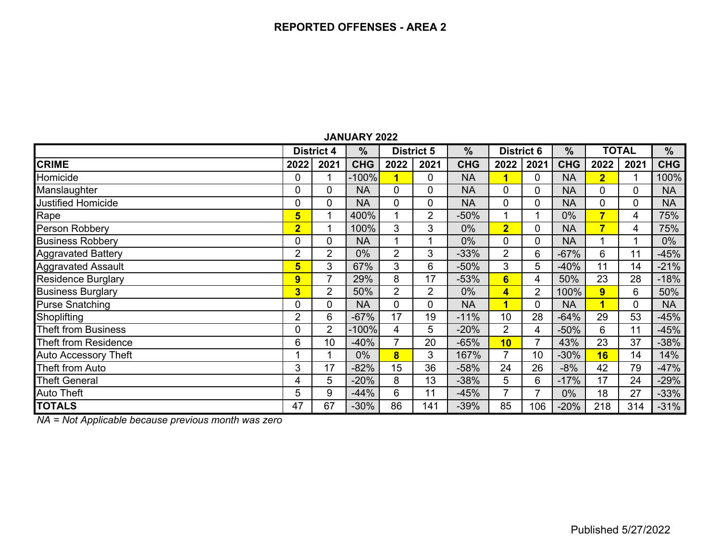|                             |                         | <b>District 4</b> | $\frac{0}{0}$ |                         | <b>District 5</b> | $\frac{0}{0}$ | <b>District 6</b>       |                | $\frac{0}{0}$ |                         | <b>TOTAL</b> | $\frac{9}{6}$ |
|-----------------------------|-------------------------|-------------------|---------------|-------------------------|-------------------|---------------|-------------------------|----------------|---------------|-------------------------|--------------|---------------|
| <b>CRIME</b>                | 2022                    | 2021              | <b>CHG</b>    | 2022                    | 2021              | <b>CHG</b>    | 2022                    | 2021           | <b>CHG</b>    | 2022                    | 2021         | <b>CHG</b>    |
| Homicide                    | $\mathbf 0$             |                   | $-100%$       | 1                       | $\mathbf 0$       | <b>NA</b>     | $\overline{\mathbf{1}}$ | 0              | <b>NA</b>     | $\overline{\mathbf{2}}$ |              | 100%          |
| Manslaughter                | 0                       | 0                 | <b>NA</b>     | 0                       | $\mathbf 0$       | <b>NA</b>     | 0                       | 0              | <b>NA</b>     | $\Omega$                | 0            | <b>NA</b>     |
| <b>Justified Homicide</b>   | $\mathbf 0$             | 0                 | <b>NA</b>     | 0                       | $\mathbf 0$       | <b>NA</b>     | 0                       | 0              | <b>NA</b>     | $\mathbf 0$             | 0            | <b>NA</b>     |
| Rape                        | 5                       |                   | 400%          | 4                       | $\overline{2}$    | $-50%$        |                         |                | $0\%$         | $\overline{\mathbf{7}}$ | 4            | 75%           |
| Person Robbery              | $\overline{\mathbf{2}}$ |                   | 100%          | 3                       | 3                 | 0%            | $\overline{2}$          | $\overline{0}$ | <b>NA</b>     | $\overline{\mathbf{7}}$ | 4            | 75%           |
| <b>Business Robbery</b>     | $\mathbf 0$             | 0                 | <b>NA</b>     | 1                       |                   | $0\%$         | 0                       | 0              | <b>NA</b>     |                         |              | $0\%$         |
| <b>Aggravated Battery</b>   | $\overline{2}$          | 2                 | $0\%$         | $\overline{2}$          | 3                 | $-33%$        | 2                       | 6              | $-67%$        | 6                       | 11           | $-45%$        |
| <b>Aggravated Assault</b>   | 5                       | 3                 | 67%           | 3                       | 6                 | $-50%$        | 3                       | 5              | $-40%$        | 11                      | 14           | $-21%$        |
| <b>Residence Burglary</b>   | 9                       | $\overline{7}$    | 29%           | 8                       | 17                | $-53%$        | $6\phantom{a}$          | 4              | 50%           | 23                      | 28           | $-18%$        |
| <b>Business Burglary</b>    | $\overline{\mathbf{3}}$ | $\overline{2}$    | 50%           | $\overline{2}$          | $\overline{2}$    | $0\%$         | $\overline{\mathbf{4}}$ | $\overline{2}$ | 100%          | 9                       | 6            | 50%           |
| <b>Purse Snatching</b>      | $\mathbf 0$             | 0                 | <b>NA</b>     | $\overline{0}$          | $\mathbf 0$       | <b>NA</b>     | $\overline{\mathbf{1}}$ | $\overline{0}$ | <b>NA</b>     | 1                       | 0            | <b>NA</b>     |
| Shoplifting                 | $\overline{2}$          | 6                 | $-67%$        | 17                      | 19                | $-11%$        | 10                      | 28             | $-64%$        | 29                      | 53           | $-45%$        |
| <b>Theft from Business</b>  | $\mathbf 0$             | 2                 | $-100%$       | 4                       | 5                 | $-20%$        | 2                       | 4              | $-50%$        | 6                       | 11           | $-45%$        |
| Theft from Residence        | 6                       | 10                | $-40%$        | 7                       | 20                | $-65%$        | 10                      |                | 43%           | 23                      | 37           | $-38%$        |
| <b>Auto Accessory Theft</b> | и                       |                   | $0\%$         | $\overline{\mathbf{8}}$ | 3                 | 167%          | 7                       | 10             | $-30%$        | 16                      | 14           | 14%           |
| Theft from Auto             | 3                       | 17                | $-82%$        | 15                      | 36                | $-58%$        | 24                      | 26             | $-8%$         | 42                      | 79           | $-47%$        |
| <b>Theft General</b>        | 4                       | 5                 | $-20%$        | 8                       | 13                | $-38%$        | 5                       | 6              | $-17%$        | 17                      | 24           | $-29%$        |
| <b>Auto Theft</b>           | 5                       | 9                 | $-44%$        | 6                       | 11                | $-45%$        | 7                       |                | $0\%$         | 18                      | 27           | $-33%$        |
| <b>TOTALS</b>               | 47                      | 67                | $-30%$        | 86                      | 141               | $-39%$        | 85                      | 106            | $-20%$        | 218                     | 314          | $-31%$        |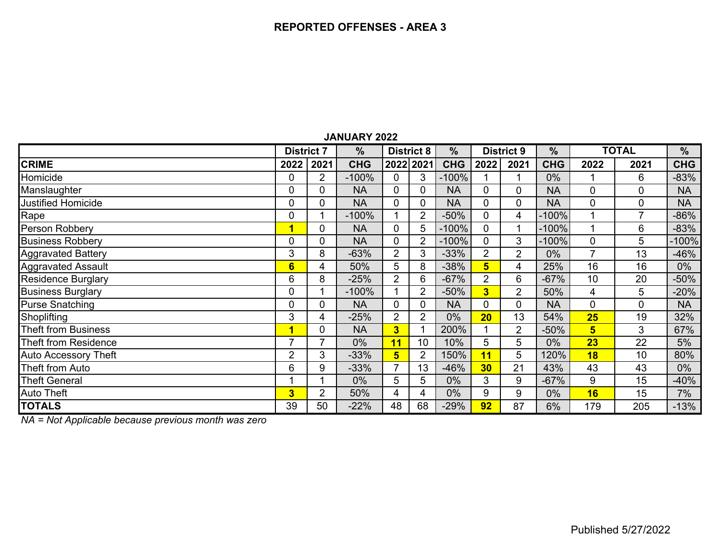|                             | <b>District 7</b> |                | $\frac{0}{0}$ |                         | <b>District 8</b> |            |                         | <b>District 9</b> | $\frac{0}{0}$ | <b>TOTAL</b>   |                | %          |
|-----------------------------|-------------------|----------------|---------------|-------------------------|-------------------|------------|-------------------------|-------------------|---------------|----------------|----------------|------------|
| <b>CRIME</b>                | 2022              | 2021           | <b>CHG</b>    |                         | 2022 2021         | <b>CHG</b> | 2022                    | 2021              | <b>CHG</b>    | 2022           | 2021           | <b>CHG</b> |
| Homicide                    | 0                 | 2              | $-100%$       | $\overline{0}$          | 3                 | $-100%$    |                         |                   | $0\%$         |                | 6              | $-83%$     |
| Manslaughter                | 0                 | 0              | <b>NA</b>     | 0                       | 0                 | <b>NA</b>  |                         | 0                 | <b>NA</b>     | 0              | 0              | <b>NA</b>  |
| <b>Justified Homicide</b>   | 0                 | $\overline{0}$ | <b>NA</b>     | $\overline{0}$          | 0                 | <b>NA</b>  | 0                       | 0                 | <b>NA</b>     | 0              | 0              | <b>NA</b>  |
| Rape                        | 0                 |                | $-100%$       |                         | $\overline{2}$    | $-50%$     | $\Omega$                | 4                 | $-100%$       |                | $\overline{7}$ | -86%       |
| Person Robbery              | $\blacksquare$    | 0              | <b>NA</b>     | 0                       | 5                 | $-100%$    | $\mathbf 0$             |                   | $-100%$       |                | 6              | $-83%$     |
| <b>Business Robbery</b>     | 0                 | 0              | <b>NA</b>     | $\Omega$                | 2                 | $-100%$    | $\Omega$                | 3                 | $-100%$       | 0              | 5              | $-100%$    |
| <b>Aggravated Battery</b>   | 3                 | 8              | $-63%$        | $\overline{2}$          | 3                 | $-33%$     | 2                       | 2                 | 0%            | 7              | 13             | $-46%$     |
| <b>Aggravated Assault</b>   | $6\phantom{1}$    | 4              | 50%           | 5                       | 8                 | $-38%$     | $5\phantom{1}$          | 4                 | 25%           | 16             | 16             | $0\%$      |
| <b>Residence Burglary</b>   | 6                 | 8              | $-25%$        | $\overline{2}$          | 6                 | $-67%$     | 2                       | 6                 | $-67%$        | 10             | 20             | $-50%$     |
| <b>Business Burglary</b>    | 0                 |                | $-100%$       |                         | 2                 | $-50%$     | $\overline{\mathbf{3}}$ | $\overline{2}$    | 50%           | 4              | 5              | $-20%$     |
| <b>Purse Snatching</b>      | 0                 | $\mathbf 0$    | <b>NA</b>     | $\mathbf{0}$            | 0                 | <b>NA</b>  | $\Omega$                | 0                 | <b>NA</b>     | 0              | 0              | <b>NA</b>  |
| Shoplifting                 | 3                 | 4              | $-25%$        | $\overline{2}$          | $\overline{2}$    | 0%         | 20                      | 13                | 54%           | 25             | 19             | 32%        |
| <b>Theft from Business</b>  | 1                 | 0              | <b>NA</b>     | $\overline{\mathbf{3}}$ |                   | 200%       |                         | 2                 | $-50%$        | $5\phantom{1}$ | 3              | 67%        |
| Theft from Residence        | 7                 |                | $0\%$         | 11                      | 10                | 10%        | 5                       | 5                 | $0\%$         | 23             | 22             | 5%         |
| <b>Auto Accessory Theft</b> | 2                 | 3              | $-33\%$       | $5\overline{5}$         | $\overline{2}$    | 150%       | 11                      | 5                 | 120%          | 18             | 10             | 80%        |
| <b>Theft from Auto</b>      | 6                 | 9              | $-33%$        | 7                       | 13                | $-46%$     | 30                      | 21                | 43%           | 43             | 43             | $0\%$      |
| <b>Theft General</b>        |                   |                | $0\%$         | 5                       | 5                 | $0\%$      | 3                       | 9                 | $-67%$        | 9              | 15             | $-40%$     |
| <b>Auto Theft</b>           | 3                 | $\overline{2}$ | 50%           | 4                       | 4                 | $0\%$      | 9                       | 9                 | $0\%$         | 16             | 15             | 7%         |
| <b>TOTALS</b>               | 39                | 50             | $-22%$        | 48                      | 68                | $-29%$     | 92                      | 87                | 6%            | 179            | 205            | $-13%$     |